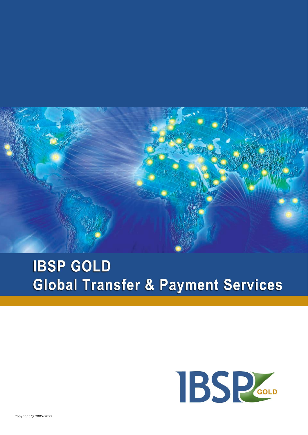# **IBSP GOLD Global Transfer & Payment Services**

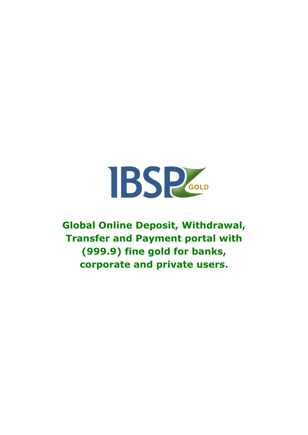

**Global Online Deposit, Withdrawal, Transfer and Payment portal with (999.9) fine gold for banks, corporate and private users.**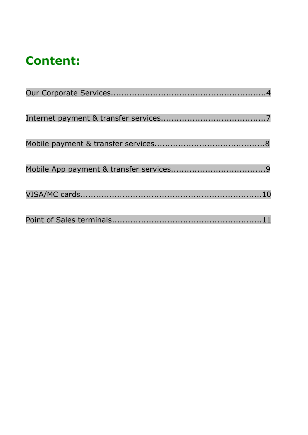## **Content:**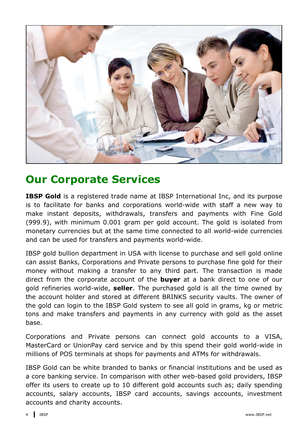

### **Our Corporate Services**

**IBSP Gold** is a registered trade name at IBSP International Inc, and its purpose is to facilitate for banks and corporations world-wide with staff a new way to make instant deposits, withdrawals, transfers and payments with Fine Gold (999.9), with minimum 0.001 gram per gold account. The gold is isolated from monetary currencies but at the same time connected to all world-wide currencies and can be used for transfers and payments world-wide.

IBSP gold bullion department in USA with license to purchase and sell gold online can assist Banks, Corporations and Private persons to purchase fine gold for their money without making a transfer to any third part. The transaction is made direct from the corporate account of the **buyer** at a bank direct to one of our gold refineries world-wide, **seller**. The purchased gold is all the time owned by the account holder and stored at different BRINKS security vaults. The owner of the gold can login to the IBSP Gold system to see all gold in grams, kg or metric tons and make transfers and payments in any currency with gold as the asset base.

Corporations and Private persons can connect gold accounts to a VISA, MasterCard or UnionPay card service and by this spend their gold world-wide in millions of POS terminals at shops for payments and ATMs for withdrawals.

IBSP Gold can be white branded to banks or financial institutions and be used as a core banking service. In comparison with other web-based gold providers, IBSP offer its users to create up to 10 different gold accounts such as; daily spending accounts, salary accounts, IBSP card accounts, savings accounts, investment accounts and charity accounts.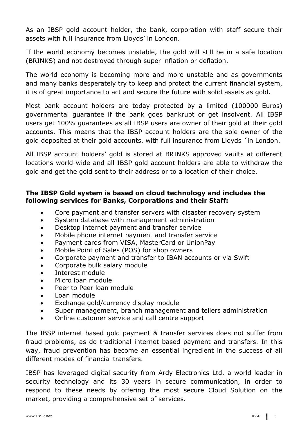As an IBSP gold account holder, the bank, corporation with staff secure their assets with full insurance from Lloyds' in London.

If the world economy becomes unstable, the gold will still be in a safe location (BRINKS) and not destroyed through super inflation or deflation.

The world economy is becoming more and more unstable and as governments and many banks desperately try to keep and protect the current financial system, it is of great importance to act and secure the future with solid assets as gold.

Most bank account holders are today protected by a limited (100000 Euros) governmental guarantee if the bank goes bankrupt or get insolvent. All IBSP users get 100% guarantees as all IBSP users are owner of their gold at their gold accounts. This means that the IBSP account holders are the sole owner of the gold deposited at their gold accounts, with full insurance from Lloyds ´in London.

All IBSP account holders' gold is stored at BRINKS approved vaults at different locations world-wide and all IBSP gold account holders are able to withdraw the gold and get the gold sent to their address or to a location of their choice.

#### **The IBSP Gold system is based on cloud technology and includes the following services for Banks, Corporations and their Staff:**

- Core payment and transfer servers with disaster recovery system
- System database with management administration
- Desktop internet payment and transfer service
- Mobile phone internet payment and transfer service
- Payment cards from VISA, MasterCard or UnionPay
- Mobile Point of Sales (POS) for shop owners
- Corporate payment and transfer to IBAN accounts or via Swift
- Corporate bulk salary module
- Interest module
- Micro loan module
- Peer to Peer loan module
- Loan module
- Exchange gold/currency display module
- Super management, branch management and tellers administration
- Online customer service and call centre support

The IBSP internet based gold payment & transfer services does not suffer from fraud problems, as do traditional internet based payment and transfers. In this way, fraud prevention has become an essential ingredient in the success of all different modes of financial transfers.

IBSP has leveraged digital security from Ardy Electronics Ltd, a world leader in security technology and its 30 years in secure communication, in order to respond to these needs by offering the most secure Cloud Solution on the market, providing a comprehensive set of services.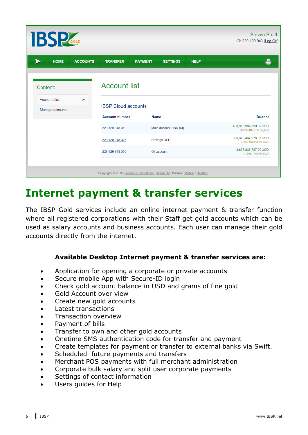| <b>IBSP</b><br><b>Steven Smith</b><br>ID: 229 129 943 (Log Off) |             |                            |                       |                                                                             |                                                   |  |
|-----------------------------------------------------------------|-------------|----------------------------|-----------------------|-----------------------------------------------------------------------------|---------------------------------------------------|--|
|                                                                 | <b>HOME</b> | <b>ACCOUNTS</b>            | <b>TRANSFER</b>       | <b>HELP</b><br><b>PAYMENT</b><br><b>SETTINGS</b>                            |                                                   |  |
| Content:                                                        |             |                            | <b>Account list</b>   |                                                                             |                                                   |  |
| <b>Account List</b><br>▶<br>Manage accounts                     |             | <b>IBSP Cloud accounts</b> |                       |                                                                             |                                                   |  |
|                                                                 |             |                            | <b>Account number</b> | <b>Name</b>                                                                 | <b>Balance</b>                                    |  |
|                                                                 |             |                            | 229 129 943 010       | Main account USD (M)                                                        | 488,353,994,898.82 USD<br>(13,274,817,736.73 gAU) |  |
|                                                                 |             |                            | 229 129 943 028       | <b>Savings USD</b>                                                          | 906,378,437,976.37 USD<br>(24,637,882,950.32 gAU) |  |
|                                                                 |             |                            | 229 129 943 036       | Oil account                                                                 | 3,678,836,787.99 USD<br>(100,001,000.00 gAU)      |  |
|                                                                 |             |                            |                       | Copyright © 2015   Terms & Conditions   About Us   Device: Mobile / Desktop |                                                   |  |

### **Internet payment & transfer services**

The IBSP Gold services include an online internet payment & transfer function where all registered corporations with their Staff get gold accounts which can be used as salary accounts and business accounts. Each user can manage their gold accounts directly from the internet.

### **Available Desktop Internet payment & transfer services are:**

- Application for opening a corporate or private accounts
- Secure mobile App with Secure-ID login
- Check gold account balance in USD and grams of fine gold
- Gold Account over view
- Create new gold accounts
- Latest transactions
- Transaction overview
- Payment of bills
- Transfer to own and other gold accounts
- Onetime SMS authentication code for transfer and payment
- Create templates for payment or transfer to external banks via Swift.
- Scheduled future payments and transfers
- Merchant POS payments with full merchant administration
- Corporate bulk salary and split user corporate payments
- Settings of contact information
- Users quides for Help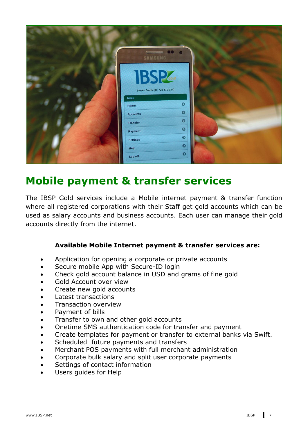

### **Mobile payment & transfer services**

The IBSP Gold services include a Mobile internet payment & transfer function where all registered corporations with their Staff get gold accounts which can be used as salary accounts and business accounts. Each user can manage their gold accounts directly from the internet.

#### **Available Mobile Internet payment & transfer services are:**

- Application for opening a corporate or private accounts
- Secure mobile App with Secure-ID login
- Check gold account balance in USD and grams of fine gold
- Gold Account over view
- Create new gold accounts
- Latest transactions
- Transaction overview
- Payment of bills
- Transfer to own and other gold accounts
- Onetime SMS authentication code for transfer and payment
- Create templates for payment or transfer to external banks via Swift.
- Scheduled future payments and transfers
- Merchant POS payments with full merchant administration
- Corporate bulk salary and split user corporate payments
- Settings of contact information
- Users quides for Help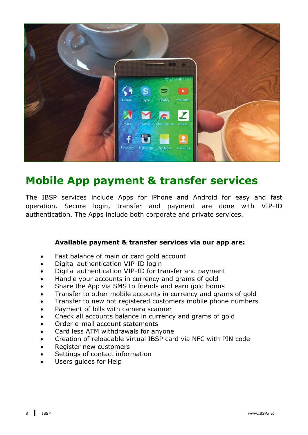

### **Mobile App payment & transfer services**

The IBSP services include Apps for iPhone and Android for easy and fast operation. Secure login, transfer and payment are done with VIP-ID authentication. The Apps include both corporate and private services.

#### **Available payment & transfer services via our app are:**

- Fast balance of main or card gold account
- Digital authentication VIP-ID login
- Digital authentication VIP-ID for transfer and payment
- Handle your accounts in currency and grams of gold
- Share the App via SMS to friends and earn gold bonus
- Transfer to other mobile accounts in currency and grams of gold
- Transfer to new not registered customers mobile phone numbers
- Payment of bills with camera scanner
- Check all accounts balance in currency and grams of gold
- Order e-mail account statements
- Card less ATM withdrawals for anyone
- Creation of reloadable virtual IBSP card via NFC with PIN code
- Register new customers
- Settings of contact information
- Users quides for Help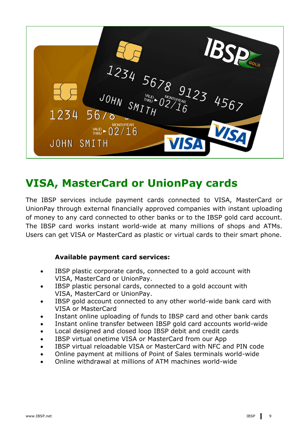

### **VISA, MasterCard or UnionPay cards**

The IBSP services include payment cards connected to VISA, MasterCard or UnionPay through external financially approved companies with instant uploading of money to any card connected to other banks or to the IBSP gold card account. The IBSP card works instant world-wide at many millions of shops and ATMs. Users can get VISA or MasterCard as plastic or virtual cards to their smart phone.

#### **Available payment card services:**

- IBSP plastic corporate cards, connected to a gold account with VISA, MasterCard or UnionPay.
- IBSP plastic personal cards, connected to a gold account with VISA, MasterCard or UnionPay.
- IBSP gold account connected to any other world-wide bank card with VISA or MasterCard
- Instant online uploading of funds to IBSP card and other bank cards
- Instant online transfer between IBSP gold card accounts world-wide
- Local designed and closed loop IBSP debit and credit cards
- IBSP virtual onetime VISA or MasterCard from our App
- IBSP virtual reloadable VISA or MasterCard with NFC and PIN code
- Online payment at millions of Point of Sales terminals world-wide
- Online withdrawal at millions of ATM machines world-wide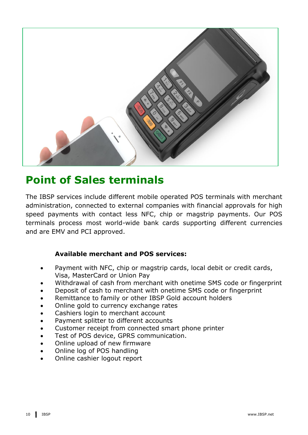

### **Point of Sales terminals**

The IBSP services include different mobile operated POS terminals with merchant administration, connected to external companies with financial approvals for high speed payments with contact less NFC, chip or magstrip payments. Our POS terminals process most world-wide bank cards supporting different currencies and are EMV and PCI approved.

#### **Available merchant and POS services:**

- Payment with NFC, chip or magstrip cards, local debit or credit cards, Visa, MasterCard or Union Pay
- Withdrawal of cash from merchant with onetime SMS code or fingerprint
- Deposit of cash to merchant with onetime SMS code or fingerprint
- Remittance to family or other IBSP Gold account holders
- Online gold to currency exchange rates
- Cashiers login to merchant account
- Payment splitter to different accounts
- Customer receipt from connected smart phone printer
- Test of POS device, GPRS communication.
- Online upload of new firmware
- Online log of POS handling
- Online cashier logout report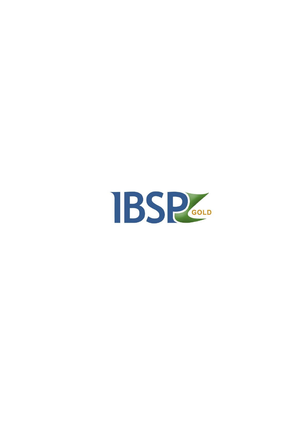